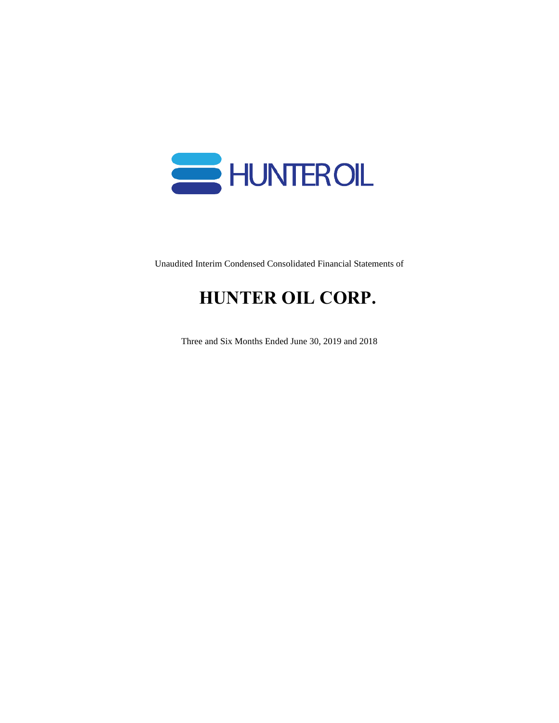

Unaudited Interim Condensed Consolidated Financial Statements of

# **HUNTER OIL CORP.**

Three and Six Months Ended June 30, 2019 and 2018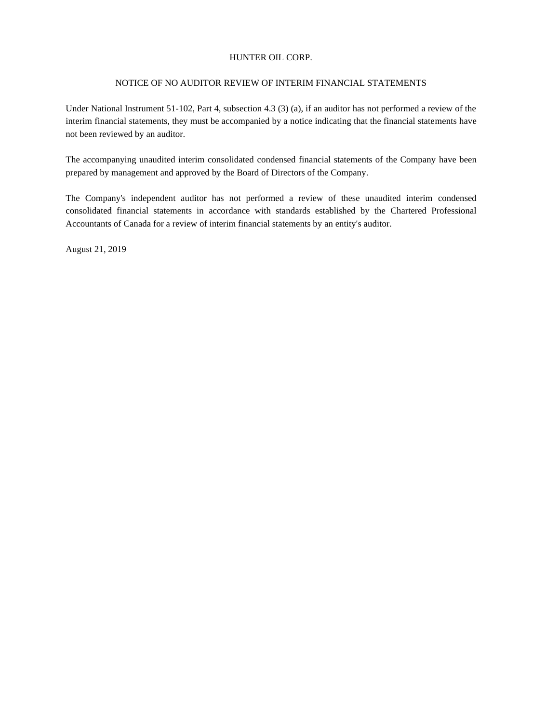#### NOTICE OF NO AUDITOR REVIEW OF INTERIM FINANCIAL STATEMENTS

Under National Instrument 51-102, Part 4, subsection 4.3 (3) (a), if an auditor has not performed a review of the interim financial statements, they must be accompanied by a notice indicating that the financial statements have not been reviewed by an auditor.

The accompanying unaudited interim consolidated condensed financial statements of the Company have been prepared by management and approved by the Board of Directors of the Company.

The Company's independent auditor has not performed a review of these unaudited interim condensed consolidated financial statements in accordance with standards established by the Chartered Professional Accountants of Canada for a review of interim financial statements by an entity's auditor.

August 21, 2019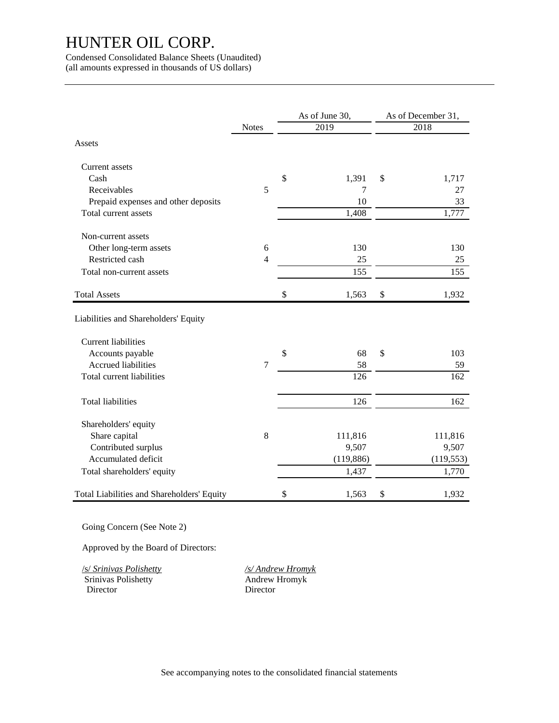Condensed Consolidated Balance Sheets (Unaudited) (all amounts expressed in thousands of US dollars)

|                                            |                | As of June 30, |                   | As of December 31, |            |  |
|--------------------------------------------|----------------|----------------|-------------------|--------------------|------------|--|
|                                            | <b>Notes</b>   |                | $\overline{2019}$ |                    | 2018       |  |
| Assets                                     |                |                |                   |                    |            |  |
| Current assets                             |                |                |                   |                    |            |  |
| Cash                                       |                | \$             | 1,391             | \$                 | 1,717      |  |
| Receivables                                | 5              |                | 7                 |                    | 27         |  |
| Prepaid expenses and other deposits        |                |                | 10                |                    | 33         |  |
| Total current assets                       |                |                | 1,408             |                    | 1,777      |  |
| Non-current assets                         |                |                |                   |                    |            |  |
| Other long-term assets                     | 6              |                | 130               |                    | 130        |  |
| Restricted cash                            | $\overline{4}$ |                | 25                |                    | 25         |  |
| Total non-current assets                   |                |                | 155               |                    | 155        |  |
| <b>Total Assets</b>                        |                | \$             | 1,563             | \$                 | 1,932      |  |
| Liabilities and Shareholders' Equity       |                |                |                   |                    |            |  |
| <b>Current liabilities</b>                 |                |                |                   |                    |            |  |
| Accounts payable                           |                | \$             | 68                | \$                 | 103        |  |
| Accrued liabilities                        | $\overline{7}$ |                | 58                |                    | 59         |  |
| Total current liabilities                  |                |                | 126               |                    | 162        |  |
| <b>Total liabilities</b>                   |                |                | 126               |                    | 162        |  |
| Shareholders' equity                       |                |                |                   |                    |            |  |
| Share capital                              | $\,8\,$        |                | 111,816           |                    | 111,816    |  |
| Contributed surplus                        |                |                | 9,507             |                    | 9,507      |  |
| Accumulated deficit                        |                |                | (119, 886)        |                    | (119, 553) |  |
| Total shareholders' equity                 |                |                | 1,437             |                    | 1,770      |  |
| Total Liabilities and Shareholders' Equity |                | \$             | 1,563             | \$                 | 1,932      |  |

Going Concern (See Note 2)

Approved by the Board of Directors:

/s/ *Srinivas Polishetty /s/ Andrew Hromyk* Director

Srinivas Polishetty<br>Director Andrew Hromyk<br>Director Director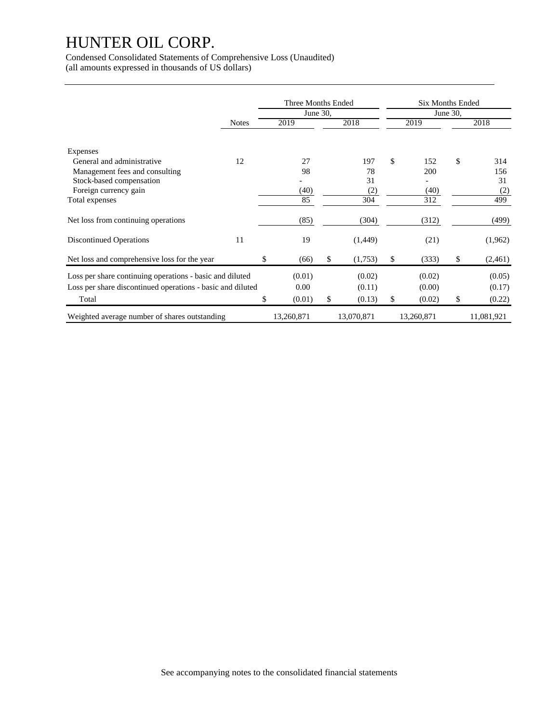Condensed Consolidated Statements of Comprehensive Loss (Unaudited) (all amounts expressed in thousands of US dollars)

|                                                                                                                                 |              |    | Three Months Ended<br>June 30, |                                  | <b>Six Months Ended</b>          | June 30, |                                |
|---------------------------------------------------------------------------------------------------------------------------------|--------------|----|--------------------------------|----------------------------------|----------------------------------|----------|--------------------------------|
|                                                                                                                                 | <b>Notes</b> |    | 2019                           | 2018                             | 2019                             |          | 2018                           |
| Expenses<br>General and administrative<br>Management fees and consulting<br>Stock-based compensation<br>Foreign currency gain   | 12           |    | 27<br>98<br>(40)<br>85         | 197<br>78<br>31<br>(2)<br>304    | \$<br>152<br>200<br>(40)<br>312  | \$       | 314<br>156<br>31<br>(2)<br>499 |
| Total expenses<br>Net loss from continuing operations                                                                           |              |    | (85)                           | (304)                            | (312)                            |          | (499)                          |
| Discontinued Operations                                                                                                         | 11           |    | 19                             | (1,449)                          | (21)                             |          | (1,962)                        |
| Net loss and comprehensive loss for the year                                                                                    |              | \$ | (66)                           | \$<br>(1,753)                    | \$<br>(333)                      | \$       | (2,461)                        |
| Loss per share continuing operations - basic and diluted<br>Loss per share discontinued operations - basic and diluted<br>Total |              | \$ | (0.01)<br>0.00<br>(0.01)       | \$<br>(0.02)<br>(0.11)<br>(0.13) | \$<br>(0.02)<br>(0.00)<br>(0.02) | \$       | (0.05)<br>(0.17)<br>(0.22)     |
| Weighted average number of shares outstanding                                                                                   |              |    | 13,260,871                     | 13,070,871                       | 13,260,871                       |          | 11,081,921                     |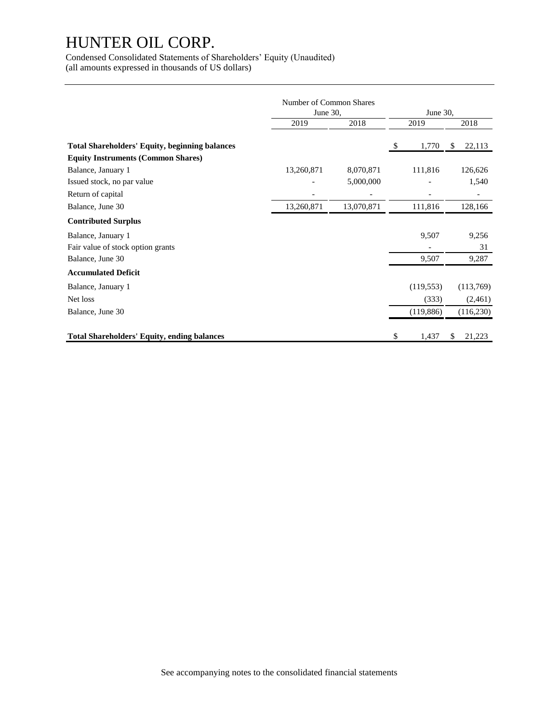Condensed Consolidated Statements of Shareholders' Equity (Unaudited) (all amounts expressed in thousands of US dollars)

|                                                       | Number of Common Shares<br>June 30, |            |    | June 30,   |    |            |  |
|-------------------------------------------------------|-------------------------------------|------------|----|------------|----|------------|--|
|                                                       | 2019                                | 2018       |    | 2019       |    | 2018       |  |
| <b>Total Shareholders' Equity, beginning balances</b> |                                     |            | \$ | 1,770      | \$ | 22,113     |  |
| <b>Equity Instruments (Common Shares)</b>             |                                     |            |    |            |    |            |  |
| Balance, January 1                                    | 13,260,871                          | 8,070,871  |    | 111,816    |    | 126,626    |  |
| Issued stock, no par value                            |                                     | 5,000,000  |    |            |    | 1,540      |  |
| Return of capital                                     |                                     |            |    |            |    |            |  |
| Balance, June 30                                      | 13,260,871                          | 13,070,871 |    | 111,816    |    | 128,166    |  |
| <b>Contributed Surplus</b>                            |                                     |            |    |            |    |            |  |
| Balance, January 1                                    |                                     |            |    | 9,507      |    | 9,256      |  |
| Fair value of stock option grants                     |                                     |            |    |            |    | 31         |  |
| Balance, June 30                                      |                                     |            |    | 9,507      |    | 9,287      |  |
| <b>Accumulated Deficit</b>                            |                                     |            |    |            |    |            |  |
| Balance, January 1                                    |                                     |            |    | (119, 553) |    | (113,769)  |  |
| Net loss                                              |                                     |            |    | (333)      |    | (2,461)    |  |
| Balance, June 30                                      |                                     |            |    | (119, 886) |    | (116, 230) |  |
| <b>Total Shareholders' Equity, ending balances</b>    |                                     |            | \$ | 1,437      | \$ | 21,223     |  |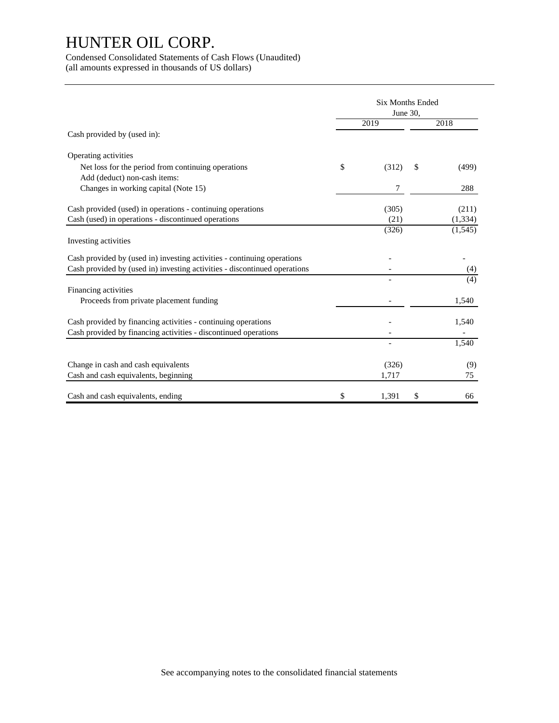Condensed Consolidated Statements of Cash Flows (Unaudited) (all amounts expressed in thousands of US dollars)

|                                                                           | <b>Six Months Ended</b><br>June 30, |       |    |          |  |  |  |
|---------------------------------------------------------------------------|-------------------------------------|-------|----|----------|--|--|--|
|                                                                           |                                     | 2019  |    | 2018     |  |  |  |
| Cash provided by (used in):                                               |                                     |       |    |          |  |  |  |
| Operating activities                                                      |                                     |       |    |          |  |  |  |
| Net loss for the period from continuing operations                        | \$                                  | (312) | \$ | (499)    |  |  |  |
| Add (deduct) non-cash items:                                              |                                     |       |    |          |  |  |  |
| Changes in working capital (Note 15)                                      |                                     | 7     |    | 288      |  |  |  |
| Cash provided (used) in operations - continuing operations                |                                     | (305) |    | (211)    |  |  |  |
| Cash (used) in operations - discontinued operations                       |                                     | (21)  |    | (1, 334) |  |  |  |
|                                                                           |                                     | (326) |    | (1, 545) |  |  |  |
| Investing activities                                                      |                                     |       |    |          |  |  |  |
| Cash provided by (used in) investing activities - continuing operations   |                                     |       |    |          |  |  |  |
| Cash provided by (used in) investing activities - discontinued operations |                                     |       |    | (4)      |  |  |  |
|                                                                           |                                     |       |    | (4)      |  |  |  |
| Financing activities                                                      |                                     |       |    |          |  |  |  |
| Proceeds from private placement funding                                   |                                     |       |    | 1,540    |  |  |  |
| Cash provided by financing activities - continuing operations             |                                     |       |    | 1,540    |  |  |  |
| Cash provided by financing activities - discontinued operations           |                                     |       |    |          |  |  |  |
|                                                                           |                                     |       |    | 1,540    |  |  |  |
| Change in cash and cash equivalents                                       |                                     | (326) |    | (9)      |  |  |  |
| Cash and cash equivalents, beginning                                      |                                     | 1,717 |    | 75       |  |  |  |
|                                                                           |                                     |       |    |          |  |  |  |
| Cash and cash equivalents, ending                                         | \$                                  | 1,391 | \$ | 66       |  |  |  |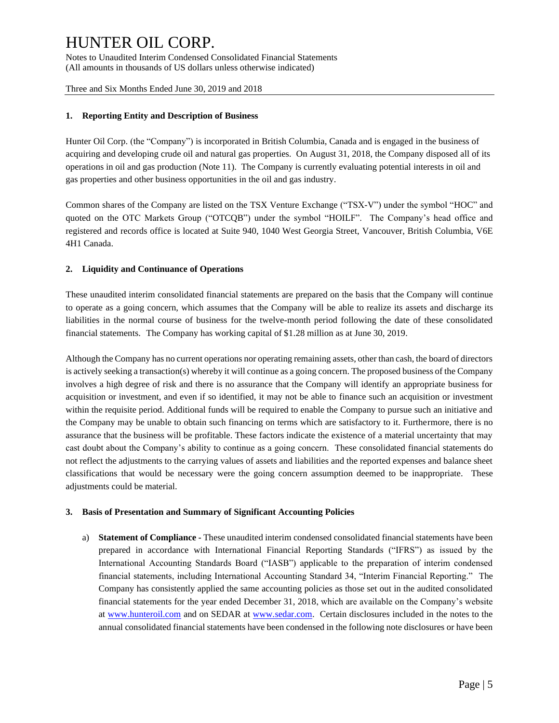Notes to Unaudited Interim Condensed Consolidated Financial Statements (All amounts in thousands of US dollars unless otherwise indicated)

Three and Six Months Ended June 30, 2019 and 2018

#### **1. Reporting Entity and Description of Business**

Hunter Oil Corp. (the "Company") is incorporated in British Columbia, Canada and is engaged in the business of acquiring and developing crude oil and natural gas properties. On August 31, 2018, the Company disposed all of its operations in oil and gas production (Note 11). The Company is currently evaluating potential interests in oil and gas properties and other business opportunities in the oil and gas industry.

Common shares of the Company are listed on the TSX Venture Exchange ("TSX-V") under the symbol "HOC" and quoted on the OTC Markets Group ("OTCQB") under the symbol "HOILF". The Company's head office and registered and records office is located at Suite 940, 1040 West Georgia Street, Vancouver, British Columbia, V6E 4H1 Canada.

#### **2. Liquidity and Continuance of Operations**

These unaudited interim consolidated financial statements are prepared on the basis that the Company will continue to operate as a going concern, which assumes that the Company will be able to realize its assets and discharge its liabilities in the normal course of business for the twelve-month period following the date of these consolidated financial statements. The Company has working capital of \$1.28 million as at June 30, 2019.

Although the Company has no current operations nor operating remaining assets, other than cash, the board of directors is actively seeking a transaction(s) whereby it will continue as a going concern. The proposed business of the Company involves a high degree of risk and there is no assurance that the Company will identify an appropriate business for acquisition or investment, and even if so identified, it may not be able to finance such an acquisition or investment within the requisite period. Additional funds will be required to enable the Company to pursue such an initiative and the Company may be unable to obtain such financing on terms which are satisfactory to it. Furthermore, there is no assurance that the business will be profitable. These factors indicate the existence of a material uncertainty that may cast doubt about the Company's ability to continue as a going concern. These consolidated financial statements do not reflect the adjustments to the carrying values of assets and liabilities and the reported expenses and balance sheet classifications that would be necessary were the going concern assumption deemed to be inappropriate. These adjustments could be material.

#### **3. Basis of Presentation and Summary of Significant Accounting Policies**

a) **Statement of Compliance -** These unaudited interim condensed consolidated financial statements have been prepared in accordance with International Financial Reporting Standards ("IFRS") as issued by the International Accounting Standards Board ("IASB") applicable to the preparation of interim condensed financial statements, including International Accounting Standard 34, "Interim Financial Reporting." The Company has consistently applied the same accounting policies as those set out in the audited consolidated financial statements for the year ended December 31, 2018, which are available on the Company's website at [www.hunteroil.com](http://www.hunteroil.com/) and on SEDAR at [www.sedar.com.](http://www.sedar.com/) Certain disclosures included in the notes to the annual consolidated financial statements have been condensed in the following note disclosures or have been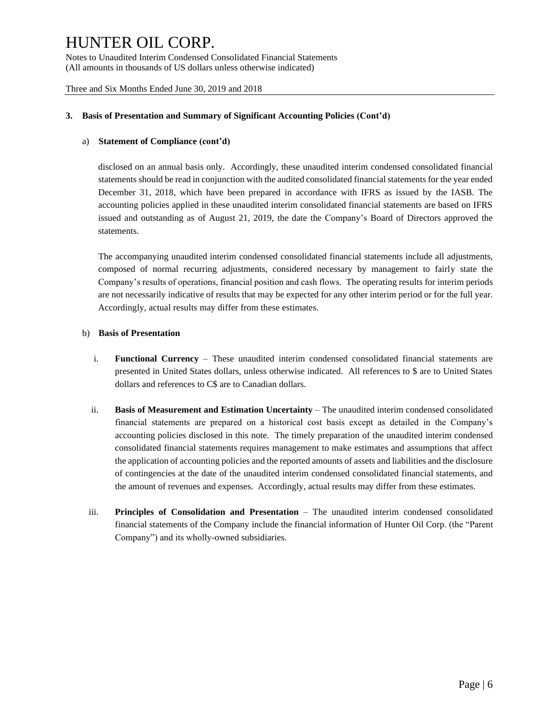Notes to Unaudited Interim Condensed Consolidated Financial Statements (All amounts in thousands of US dollars unless otherwise indicated)

Three and Six Months Ended June 30, 2019 and 2018

#### **3. Basis of Presentation and Summary of Significant Accounting Policies (Cont'd)**

#### a) **Statement of Compliance (cont'd)**

disclosed on an annual basis only. Accordingly, these unaudited interim condensed consolidated financial statements should be read in conjunction with the audited consolidated financial statements for the year ended December 31, 2018, which have been prepared in accordance with IFRS as issued by the IASB. The accounting policies applied in these unaudited interim consolidated financial statements are based on IFRS issued and outstanding as of August 21, 2019, the date the Company's Board of Directors approved the statements.

The accompanying unaudited interim condensed consolidated financial statements include all adjustments, composed of normal recurring adjustments, considered necessary by management to fairly state the Company's results of operations, financial position and cash flows. The operating results for interim periods are not necessarily indicative of results that may be expected for any other interim period or for the full year. Accordingly, actual results may differ from these estimates.

#### b) **Basis of Presentation**

- i. **Functional Currency** These unaudited interim condensed consolidated financial statements are presented in United States dollars, unless otherwise indicated. All references to \$ are to United States dollars and references to C\$ are to Canadian dollars.
- ii. **Basis of Measurement and Estimation Uncertainty** The unaudited interim condensed consolidated financial statements are prepared on a historical cost basis except as detailed in the Company's accounting policies disclosed in this note. The timely preparation of the unaudited interim condensed consolidated financial statements requires management to make estimates and assumptions that affect the application of accounting policies and the reported amounts of assets and liabilities and the disclosure of contingencies at the date of the unaudited interim condensed consolidated financial statements, and the amount of revenues and expenses. Accordingly, actual results may differ from these estimates.
- iii. **Principles of Consolidation and Presentation** The unaudited interim condensed consolidated financial statements of the Company include the financial information of Hunter Oil Corp. (the "Parent Company") and its wholly-owned subsidiaries.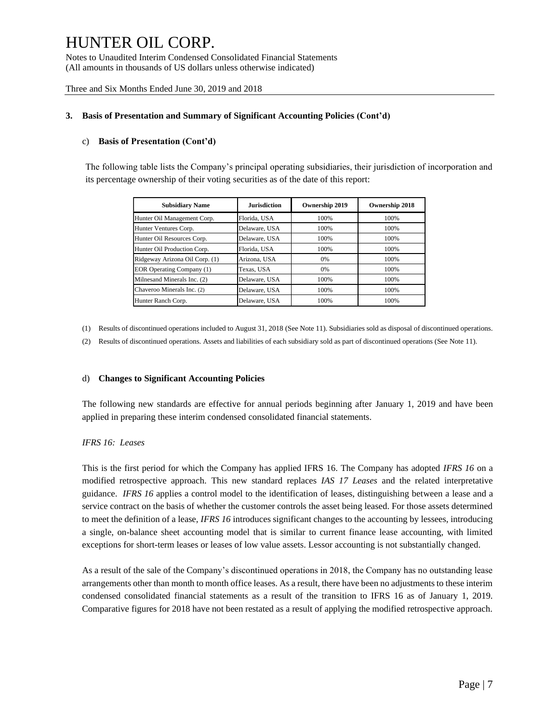Notes to Unaudited Interim Condensed Consolidated Financial Statements (All amounts in thousands of US dollars unless otherwise indicated)

Three and Six Months Ended June 30, 2019 and 2018

#### **3. Basis of Presentation and Summary of Significant Accounting Policies (Cont'd)**

#### c) **Basis of Presentation (Cont'd)**

The following table lists the Company's principal operating subsidiaries, their jurisdiction of incorporation and its percentage ownership of their voting securities as of the date of this report:

| <b>Subsidiary Name</b>           | <b>Jurisdiction</b> | <b>Ownership 2019</b> | <b>Ownership 2018</b> |
|----------------------------------|---------------------|-----------------------|-----------------------|
| Hunter Oil Management Corp.      | Florida, USA        | 100%                  | 100%                  |
| Hunter Ventures Corp.            | Delaware, USA       | 100%                  | 100%                  |
| Hunter Oil Resources Corp.       | Delaware, USA       | 100%                  | 100%                  |
| Hunter Oil Production Corp.      | Florida, USA        | 100%                  | 100%                  |
| Ridgeway Arizona Oil Corp. (1)   | Arizona, USA        | 0%                    | 100%                  |
| <b>EOR Operating Company (1)</b> | Texas, USA          | 0%                    | 100%                  |
| Milnesand Minerals Inc. (2)      | Delaware, USA       | 100%                  | 100%                  |
| Chaveroo Minerals Inc. (2)       | Delaware, USA       | 100%                  | 100%                  |
| Hunter Ranch Corp.               | Delaware, USA       | 100%                  | 100%                  |

(1) Results of discontinued operations included to August 31, 2018 (See Note 11). Subsidiaries sold as disposal of discontinued operations.

(2) Results of discontinued operations. Assets and liabilities of each subsidiary sold as part of discontinued operations (See Note 11).

#### d) **Changes to Significant Accounting Policies**

The following new standards are effective for annual periods beginning after January 1, 2019 and have been applied in preparing these interim condensed consolidated financial statements.

#### *IFRS 16: Leases*

This is the first period for which the Company has applied IFRS 16. The Company has adopted *IFRS 16* on a modified retrospective approach. This new standard replaces *IAS 17 Leases* and the related interpretative guidance. *IFRS 16* applies a control model to the identification of leases, distinguishing between a lease and a service contract on the basis of whether the customer controls the asset being leased. For those assets determined to meet the definition of a lease, *IFRS 16* introduces significant changes to the accounting by lessees, introducing a single, on-balance sheet accounting model that is similar to current finance lease accounting, with limited exceptions for short-term leases or leases of low value assets. Lessor accounting is not substantially changed.

As a result of the sale of the Company's discontinued operations in 2018, the Company has no outstanding lease arrangements other than month to month office leases. As a result, there have been no adjustments to these interim condensed consolidated financial statements as a result of the transition to IFRS 16 as of January 1, 2019. Comparative figures for 2018 have not been restated as a result of applying the modified retrospective approach.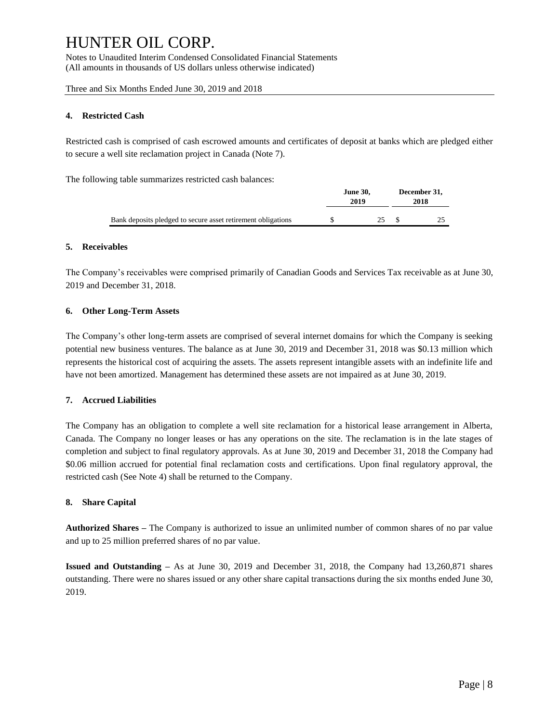Notes to Unaudited Interim Condensed Consolidated Financial Statements (All amounts in thousands of US dollars unless otherwise indicated)

Three and Six Months Ended June 30, 2019 and 2018

#### **4. Restricted Cash**

Restricted cash is comprised of cash escrowed amounts and certificates of deposit at banks which are pledged either to secure a well site reclamation project in Canada (Note 7).

The following table summarizes restricted cash balances:

|                                                              | <b>June 30.</b><br>2019 | December 31,<br>2018 |  |
|--------------------------------------------------------------|-------------------------|----------------------|--|
| Bank deposits pledged to secure asset retirement obligations |                         |                      |  |

#### **5. Receivables**

The Company's receivables were comprised primarily of Canadian Goods and Services Tax receivable as at June 30, 2019 and December 31, 2018.

#### **6. Other Long-Term Assets**

The Company's other long-term assets are comprised of several internet domains for which the Company is seeking potential new business ventures. The balance as at June 30, 2019 and December 31, 2018 was \$0.13 million which represents the historical cost of acquiring the assets. The assets represent intangible assets with an indefinite life and have not been amortized. Management has determined these assets are not impaired as at June 30, 2019.

#### **7. Accrued Liabilities**

The Company has an obligation to complete a well site reclamation for a historical lease arrangement in Alberta, Canada. The Company no longer leases or has any operations on the site. The reclamation is in the late stages of completion and subject to final regulatory approvals. As at June 30, 2019 and December 31, 2018 the Company had \$0.06 million accrued for potential final reclamation costs and certifications. Upon final regulatory approval, the restricted cash (See Note 4) shall be returned to the Company.

#### **8. Share Capital**

**Authorized Shares –** The Company is authorized to issue an unlimited number of common shares of no par value and up to 25 million preferred shares of no par value.

**Issued and Outstanding –** As at June 30, 2019 and December 31, 2018, the Company had 13,260,871 shares outstanding. There were no shares issued or any other share capital transactions during the six months ended June 30, 2019.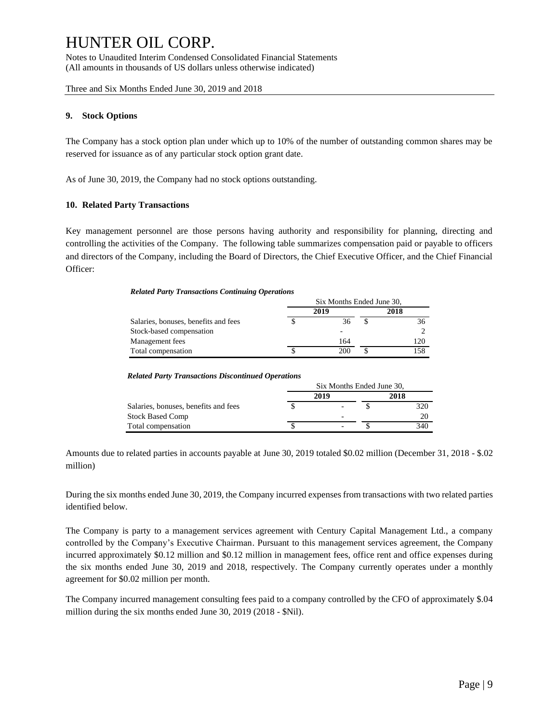Notes to Unaudited Interim Condensed Consolidated Financial Statements (All amounts in thousands of US dollars unless otherwise indicated)

Three and Six Months Ended June 30, 2019 and 2018

#### **9. Stock Options**

The Company has a stock option plan under which up to 10% of the number of outstanding common shares may be reserved for issuance as of any particular stock option grant date.

As of June 30, 2019, the Company had no stock options outstanding.

#### **10. Related Party Transactions**

Key management personnel are those persons having authority and responsibility for planning, directing and controlling the activities of the Company. The following table summarizes compensation paid or payable to officers and directors of the Company, including the Board of Directors, the Chief Executive Officer, and the Chief Financial Officer:

#### *Related Party Transactions Continuing Operations*

| Salaries, bonuses, benefits and fees | Six Months Ended June 30. |      |  |     |  |  |  |
|--------------------------------------|---------------------------|------|--|-----|--|--|--|
|                                      | 2019                      | 2018 |  |     |  |  |  |
|                                      |                           | 36   |  | 36  |  |  |  |
| Stock-based compensation             |                           |      |  |     |  |  |  |
| Management fees                      |                           | 164  |  | 120 |  |  |  |
| Total compensation                   |                           | 200  |  | 158 |  |  |  |

#### *Related Party Transactions Discontinued Operations*

| Salaries, bonuses, benefits and fees | Six Months Ended June 30. |                          |      |     |  |  |  |  |
|--------------------------------------|---------------------------|--------------------------|------|-----|--|--|--|--|
|                                      |                           | 2019                     | 2018 |     |  |  |  |  |
|                                      |                           | $\overline{\phantom{0}}$ |      | 320 |  |  |  |  |
| <b>Stock Based Comp</b>              |                           | $\overline{\phantom{0}}$ |      | 20  |  |  |  |  |
| Total compensation                   |                           | $\overline{\phantom{0}}$ |      | 340 |  |  |  |  |

Amounts due to related parties in accounts payable at June 30, 2019 totaled \$0.02 million (December 31, 2018 - \$.02 million)

During the six months ended June 30, 2019, the Company incurred expenses from transactions with two related parties identified below.

The Company is party to a management services agreement with Century Capital Management Ltd., a company controlled by the Company's Executive Chairman. Pursuant to this management services agreement, the Company incurred approximately \$0.12 million and \$0.12 million in management fees, office rent and office expenses during the six months ended June 30, 2019 and 2018, respectively. The Company currently operates under a monthly agreement for \$0.02 million per month.

The Company incurred management consulting fees paid to a company controlled by the CFO of approximately \$.04 million during the six months ended June 30, 2019 (2018 - \$Nil).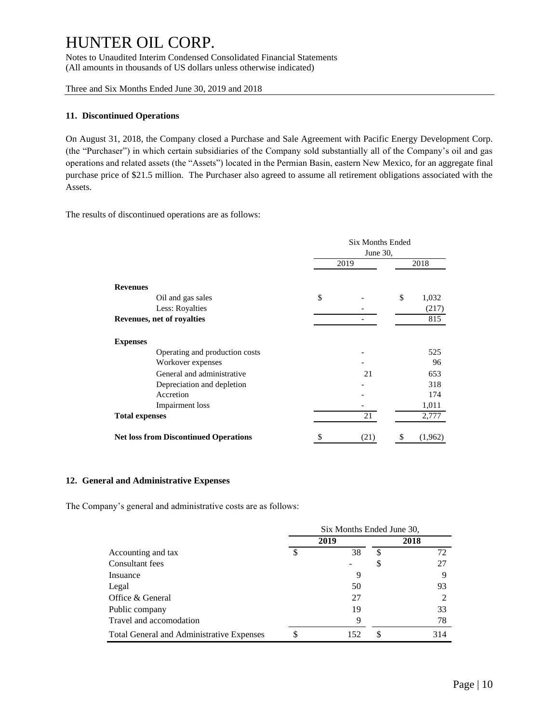Notes to Unaudited Interim Condensed Consolidated Financial Statements (All amounts in thousands of US dollars unless otherwise indicated)

Three and Six Months Ended June 30, 2019 and 2018

#### **11. Discontinued Operations**

On August 31, 2018, the Company closed a Purchase and Sale Agreement with Pacific Energy Development Corp. (the "Purchaser") in which certain subsidiaries of the Company sold substantially all of the Company's oil and gas operations and related assets (the "Assets") located in the Permian Basin, eastern New Mexico, for an aggregate final purchase price of \$21.5 million. The Purchaser also agreed to assume all retirement obligations associated with the Assets.

The results of discontinued operations are as follows:

|                                              | <b>Six Months Ended</b><br>June 30, |      |      |         |  |
|----------------------------------------------|-------------------------------------|------|------|---------|--|
|                                              | 2019                                |      | 2018 |         |  |
| <b>Revenues</b>                              |                                     |      |      |         |  |
| Oil and gas sales                            | \$                                  |      | \$   | 1,032   |  |
| Less: Royalties                              |                                     |      |      | (217)   |  |
| <b>Revenues, net of royalties</b>            |                                     |      |      | 815     |  |
| <b>Expenses</b>                              |                                     |      |      |         |  |
| Operating and production costs               |                                     |      |      | 525     |  |
| Workover expenses                            |                                     |      |      | 96      |  |
| General and administrative                   |                                     | 21   |      | 653     |  |
| Depreciation and depletion                   |                                     |      |      | 318     |  |
| Accretion                                    |                                     |      |      | 174     |  |
| Impairment loss                              |                                     |      |      | 1,011   |  |
| <b>Total expenses</b>                        |                                     | 21   |      | 2,777   |  |
| <b>Net loss from Discontinued Operations</b> | \$                                  | (21) | \$   | (1,962) |  |

#### **12. General and Administrative Expenses**

The Company's general and administrative costs are as follows:

|                                           | Six Months Ended June 30, |      |     |      |  |  |
|-------------------------------------------|---------------------------|------|-----|------|--|--|
|                                           |                           | 2019 |     | 2018 |  |  |
| Accounting and tax                        | \$                        | 38   | S   | 72   |  |  |
| Consultant fees                           |                           |      | S   | 27   |  |  |
| Insuance                                  |                           | 9    |     |      |  |  |
| Legal                                     |                           | 50   |     | 93   |  |  |
| Office & General                          |                           | 27   |     |      |  |  |
| Public company                            |                           | 19   |     | 33   |  |  |
| Travel and accomodation                   |                           | 9    |     | 78   |  |  |
| Total General and Administrative Expenses | \$                        | 152  | \$. | 314  |  |  |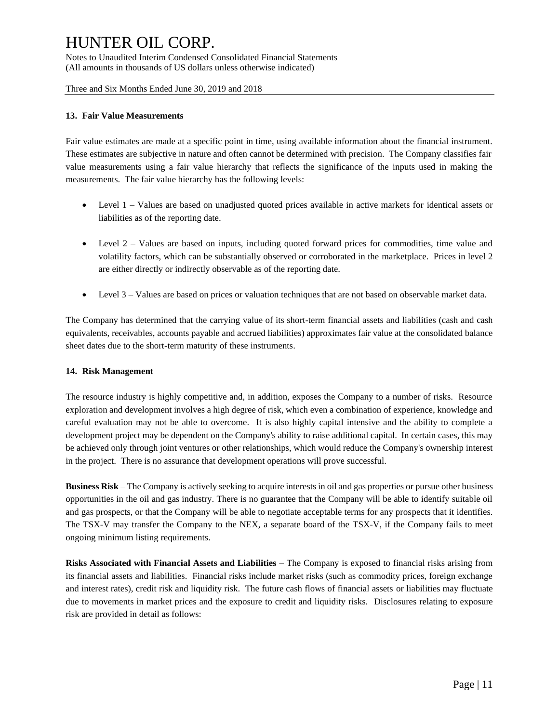Notes to Unaudited Interim Condensed Consolidated Financial Statements (All amounts in thousands of US dollars unless otherwise indicated)

Three and Six Months Ended June 30, 2019 and 2018

#### **13. Fair Value Measurements**

Fair value estimates are made at a specific point in time, using available information about the financial instrument. These estimates are subjective in nature and often cannot be determined with precision. The Company classifies fair value measurements using a fair value hierarchy that reflects the significance of the inputs used in making the measurements. The fair value hierarchy has the following levels:

- Level 1 Values are based on unadjusted quoted prices available in active markets for identical assets or liabilities as of the reporting date.
- Level  $2 -$  Values are based on inputs, including quoted forward prices for commodities, time value and volatility factors, which can be substantially observed or corroborated in the marketplace. Prices in level 2 are either directly or indirectly observable as of the reporting date.
- Level 3 Values are based on prices or valuation techniques that are not based on observable market data.

The Company has determined that the carrying value of its short-term financial assets and liabilities (cash and cash equivalents, receivables, accounts payable and accrued liabilities) approximates fair value at the consolidated balance sheet dates due to the short-term maturity of these instruments.

#### **14. Risk Management**

The resource industry is highly competitive and, in addition, exposes the Company to a number of risks. Resource exploration and development involves a high degree of risk, which even a combination of experience, knowledge and careful evaluation may not be able to overcome. It is also highly capital intensive and the ability to complete a development project may be dependent on the Company's ability to raise additional capital. In certain cases, this may be achieved only through joint ventures or other relationships, which would reduce the Company's ownership interest in the project. There is no assurance that development operations will prove successful.

**Business Risk** – The Company is actively seeking to acquire interests in oil and gas properties or pursue other business opportunities in the oil and gas industry. There is no guarantee that the Company will be able to identify suitable oil and gas prospects, or that the Company will be able to negotiate acceptable terms for any prospects that it identifies. The TSX-V may transfer the Company to the NEX, a separate board of the TSX-V, if the Company fails to meet ongoing minimum listing requirements.

**Risks Associated with Financial Assets and Liabilities** – The Company is exposed to financial risks arising from its financial assets and liabilities. Financial risks include market risks (such as commodity prices, foreign exchange and interest rates), credit risk and liquidity risk. The future cash flows of financial assets or liabilities may fluctuate due to movements in market prices and the exposure to credit and liquidity risks. Disclosures relating to exposure risk are provided in detail as follows: